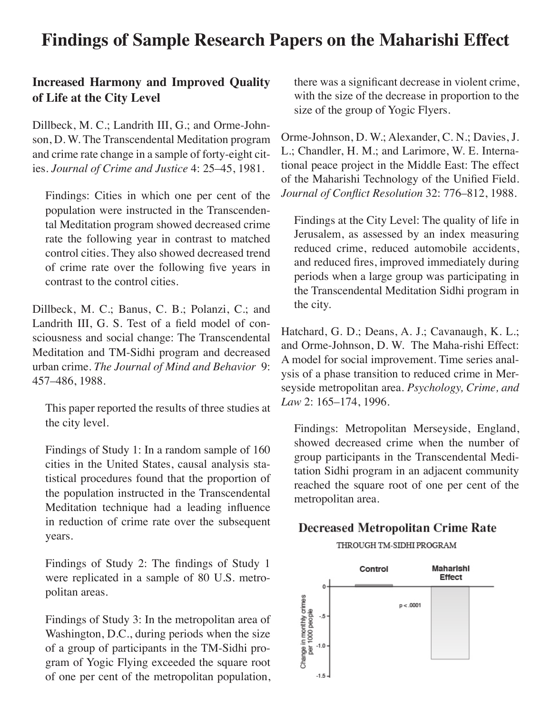## **Findings of Sample Research Papers on the Maharishi Effect**

#### **Increased Harmony and Improved Quality of Life at the City Level**

Dillbeck, M. C.; Landrith III, G.; and Orme-Johnson, D. W. The Transcendental Meditation program and crime rate change in a sample of forty-eight cities. *Journal of Crime and Justice* 4: 25–45, 1981.

Findings: Cities in which one per cent of the population were instructed in the Transcendental Meditation program showed decreased crime rate the following year in contrast to matched control cities. They also showed decreased trend of crime rate over the following five years in contrast to the control cities.

Dillbeck, M. C.; Banus, C. B.; Polanzi, C.; and Landrith III, G. S. Test of a field model of consciousness and social change: The Transcendental Meditation and TM-Sidhi program and decreased urban crime. *The Journal of Mind and Behavior* 9: 457–486, 1988.

This paper reported the results of three studies at the city level.

Findings of Study 1: In a random sample of 160 cities in the United States, causal analysis statistical procedures found that the proportion of the population instructed in the Transcendental Meditation technique had a leading influence in reduction of crime rate over the subsequent years.

Findings of Study 2: The findings of Study 1 were replicated in a sample of 80 U.S. metropolitan areas.

Findings of Study 3: In the metropolitan area of Washington, D.C., during periods when the size of a group of participants in the TM-Sidhi program of Yogic Flying exceeded the square root of one per cent of the metropolitan population,

there was a significant decrease in violent crime, with the size of the decrease in proportion to the size of the group of Yogic Flyers.

Orme-Johnson, D. W.; Alexander, C. N.; Davies, J. L.; Chandler, H. M.; and Larimore, W. E. International peace project in the Middle East: The effect of the Maharishi Technology of the Unified Field. *Journal of Conflict Resolution* 32: 776–812, 1988.

Findings at the City Level: The quality of life in Jerusalem, as assessed by an index measuring reduced crime, reduced automobile accidents, and reduced fires, improved immediately during periods when a large group was participating in the Transcendental Meditation Sidhi program in the city.

Hatchard, G. D.; Deans, A. J.; Cavanaugh, K. L.; and Orme-Johnson, D. W. The Maha-rishi Effect: A model for social improvement. Time series analysis of a phase transition to reduced crime in Merseyside metropolitan area. *Psychology, Crime, and Law* 2: 165–174, 1996.

Findings: Metropolitan Merseyside, England, showed decreased crime when the number of group participants in the Transcendental Meditation Sidhi program in an adjacent community reached the square root of one per cent of the metropolitan area.

#### **Decreased Metropolitan Crime Rate**

THROUGH TM-SIDHI PROGRAM

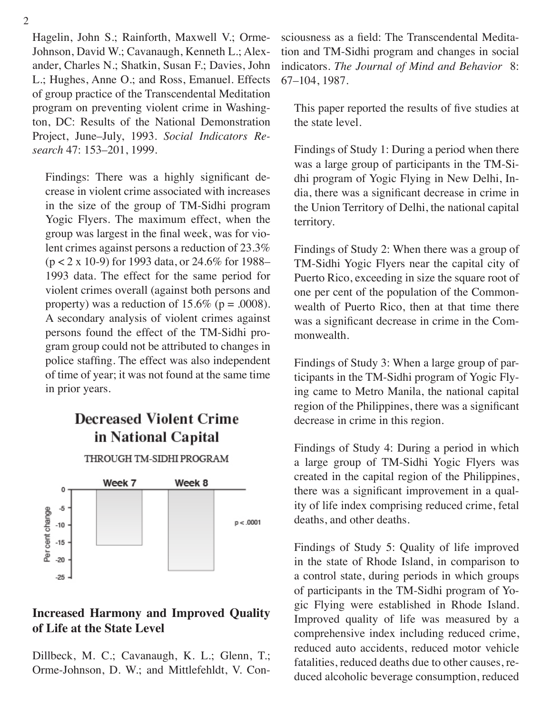Hagelin, John S.; Rainforth, Maxwell V.; Orme-Johnson, David W.; Cavanaugh, Kenneth L.; Alexander, Charles N.; Shatkin, Susan F.; Davies, John L.; Hughes, Anne O.; and Ross, Emanuel. Effects of group practice of the Transcendental Meditation program on preventing violent crime in Washington, DC: Results of the National Demonstration Project, June–July, 1993. *Social Indicators Research* 47: 153–201, 1999.

Findings: There was a highly significant decrease in violent crime associated with increases in the size of the group of TM-Sidhi program Yogic Flyers. The maximum effect, when the group was largest in the final week, was for violent crimes against persons a reduction of 23.3% (p < 2 x 10-9) for 1993 data, or 24.6% for 1988– 1993 data. The effect for the same period for violent crimes overall (against both persons and property) was a reduction of 15.6% ( $p = .0008$ ). A secondary analysis of violent crimes against persons found the effect of the TM-Sidhi program group could not be attributed to changes in police staffing. The effect was also independent of time of year; it was not found at the same time in prior years.

## **Decreased Violent Crime** in National Capital



THROUGH TM-SIDHI PROGRAM

#### **Increased Harmony and Improved Quality of Life at the State Level**

Dillbeck, M. C.; Cavanaugh, K. L.; Glenn, T.; Orme-Johnson, D. W.; and Mittlefehldt, V. Consciousness as a field: The Transcendental Meditation and TM-Sidhi program and changes in social indicators. *The Journal of Mind and Behavior* 8: 67–104, 1987.

This paper reported the results of five studies at the state level.

Findings of Study 1: During a period when there was a large group of participants in the TM-Sidhi program of Yogic Flying in New Delhi, India, there was a significant decrease in crime in the Union Territory of Delhi, the national capital territory.

Findings of Study 2: When there was a group of TM-Sidhi Yogic Flyers near the capital city of Puerto Rico, exceeding in size the square root of one per cent of the population of the Commonwealth of Puerto Rico, then at that time there was a significant decrease in crime in the Commonwealth.

Findings of Study 3: When a large group of participants in the TM-Sidhi program of Yogic Flying came to Metro Manila, the national capital region of the Philippines, there was a significant decrease in crime in this region.

Findings of Study 4: During a period in which a large group of TM-Sidhi Yogic Flyers was created in the capital region of the Philippines, there was a significant improvement in a quality of life index comprising reduced crime, fetal deaths, and other deaths.

Findings of Study 5: Quality of life improved in the state of Rhode Island, in comparison to a control state, during periods in which groups of participants in the TM-Sidhi program of Yogic Flying were established in Rhode Island. Improved quality of life was measured by a comprehensive index including reduced crime, reduced auto accidents, reduced motor vehicle fatalities, reduced deaths due to other causes, reduced alcoholic beverage consumption, reduced

2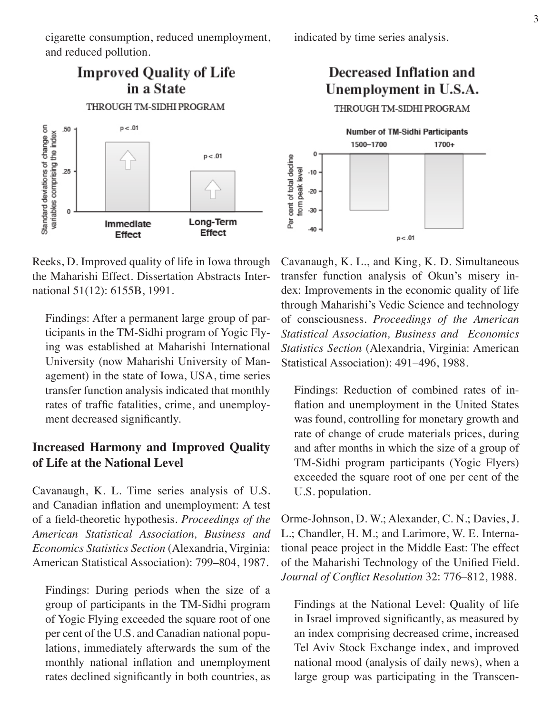cigarette consumption, reduced unemployment, and reduced pollution.



Reeks, D. Improved quality of life in Iowa through the Maharishi Effect. Dissertation Abstracts International 51(12): 6155B, 1991.

Findings: After a permanent large group of participants in the TM-Sidhi program of Yogic Flying was established at Maharishi International University (now Maharishi University of Management) in the state of Iowa, USA, time series transfer function analysis indicated that monthly rates of traffic fatalities, crime, and unemployment decreased significantly.

#### **Increased Harmony and Improved Quality of Life at the National Level**

Cavanaugh, K. L. Time series analysis of U.S. and Canadian inflation and unemployment: A test of a field-theoretic hypothesis. *Proceedings of the American Statistical Association, Business and Economics Statistics Section* (Alexandria, Virginia: American Statistical Association): 799–804, 1987.

Findings: During periods when the size of a group of participants in the TM-Sidhi program of Yogic Flying exceeded the square root of one per cent of the U.S. and Canadian national populations, immediately afterwards the sum of the monthly national inflation and unemployment rates declined significantly in both countries, as

indicated by time series analysis.

# **Decreased Inflation and** Unemployment in U.S.A.

THROUGH TM-SIDHI PROGRAM Number of TM-Sidhi Participants 1500-1700 1700+ 0 Per cent of total decline from peak level  $-10$  $-20$  $-30$  $-40$  $p < .01$ 

Cavanaugh, K. L., and King, K. D. Simultaneous transfer function analysis of Okun's misery index: Improvements in the economic quality of life through Maharishi's Vedic Science and technology of consciousness. *Proceedings of the American Statistical Association, Business and Economics Statistics Section* (Alexandria, Virginia: American Statistical Association): 491–496, 1988.

Findings: Reduction of combined rates of inflation and unemployment in the United States was found, controlling for monetary growth and rate of change of crude materials prices, during and after months in which the size of a group of TM-Sidhi program participants (Yogic Flyers) exceeded the square root of one per cent of the U.S. population.

Orme-Johnson, D. W.; Alexander, C. N.; Davies, J. L.; Chandler, H. M.; and Larimore, W. E. International peace project in the Middle East: The effect of the Maharishi Technology of the Unified Field. *Journal of Conflict Resolution* 32: 776–812, 1988.

Findings at the National Level: Quality of life in Israel improved significantly, as measured by an index comprising decreased crime, increased Tel Aviv Stock Exchange index, and improved national mood (analysis of daily news), when a large group was participating in the Transcen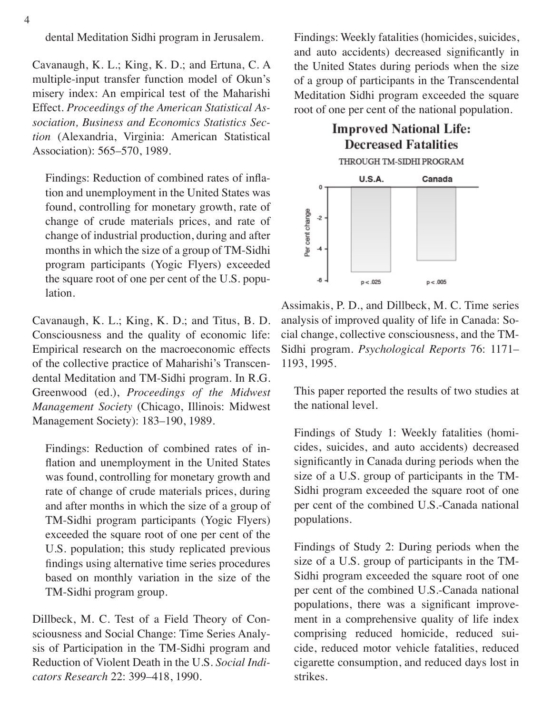dental Meditation Sidhi program in Jerusalem.

Cavanaugh, K. L.; King, K. D.; and Ertuna, C. A multiple-input transfer function model of Okun's misery index: An empirical test of the Maharishi Effect. *Proceedings of the American Statistical Association, Business and Economics Statistics Section* (Alexandria, Virginia: American Statistical Association): 565–570, 1989.

Findings: Reduction of combined rates of inflation and unemployment in the United States was found, controlling for monetary growth, rate of change of crude materials prices, and rate of change of industrial production, during and after months in which the size of a group of TM-Sidhi program participants (Yogic Flyers) exceeded the square root of one per cent of the U.S. population.

Cavanaugh, K. L.; King, K. D.; and Titus, B. D. Consciousness and the quality of economic life: Empirical research on the macroeconomic effects of the collective practice of Maharishi's Transcendental Meditation and TM-Sidhi program. In R.G. Greenwood (ed.), *Proceedings of the Midwest Management Society* (Chicago, Illinois: Midwest Management Society): 183–190, 1989.

Findings: Reduction of combined rates of inflation and unemployment in the United States was found, controlling for monetary growth and rate of change of crude materials prices, during and after months in which the size of a group of TM-Sidhi program participants (Yogic Flyers) exceeded the square root of one per cent of the U.S. population; this study replicated previous findings using alternative time series procedures based on monthly variation in the size of the TM-Sidhi program group.

Dillbeck, M. C. Test of a Field Theory of Consciousness and Social Change: Time Series Analysis of Participation in the TM-Sidhi program and Reduction of Violent Death in the U.S. *Social Indicators Research* 22: 399–418, 1990.

Findings: Weekly fatalities (homicides, suicides, and auto accidents) decreased significantly in the United States during periods when the size of a group of participants in the Transcendental Meditation Sidhi program exceeded the square root of one per cent of the national population.



Assimakis, P. D., and Dillbeck, M. C. Time series analysis of improved quality of life in Canada: Social change, collective consciousness, and the TM-Sidhi program. *Psychological Reports* 76: 1171– 1193, 1995.

This paper reported the results of two studies at the national level.

Findings of Study 1: Weekly fatalities (homicides, suicides, and auto accidents) decreased significantly in Canada during periods when the size of a U.S. group of participants in the TM-Sidhi program exceeded the square root of one per cent of the combined U.S.-Canada national populations.

Findings of Study 2: During periods when the size of a U.S. group of participants in the TM-Sidhi program exceeded the square root of one per cent of the combined U.S.-Canada national populations, there was a significant improvement in a comprehensive quality of life index comprising reduced homicide, reduced suicide, reduced motor vehicle fatalities, reduced cigarette consumption, and reduced days lost in strikes.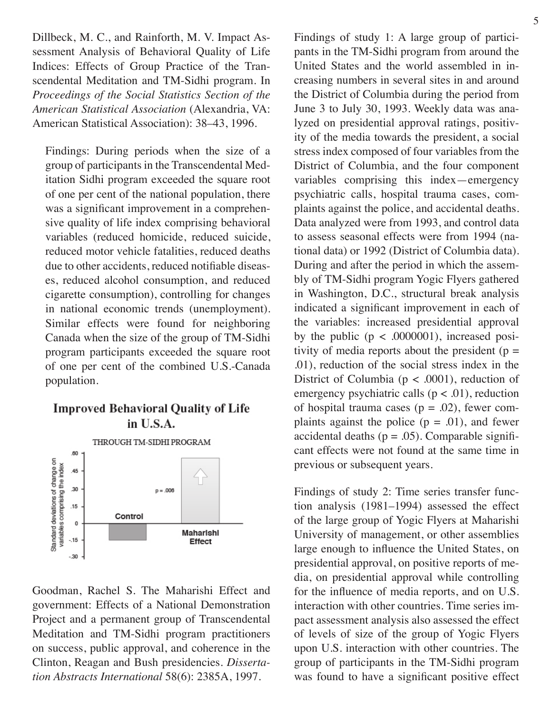Dillbeck, M. C., and Rainforth, M. V. Impact Assessment Analysis of Behavioral Quality of Life Indices: Effects of Group Practice of the Transcendental Meditation and TM-Sidhi program. In *Proceedings of the Social Statistics Section of the American Statistical Association* (Alexandria, VA: American Statistical Association): 38–43, 1996.

Findings: During periods when the size of a group of participants in the Transcendental Meditation Sidhi program exceeded the square root of one per cent of the national population, there was a significant improvement in a comprehensive quality of life index comprising behavioral variables (reduced homicide, reduced suicide, reduced motor vehicle fatalities, reduced deaths due to other accidents, reduced notifiable diseases, reduced alcohol consumption, and reduced cigarette consumption), controlling for changes in national economic trends (unemployment). Similar effects were found for neighboring Canada when the size of the group of TM-Sidhi program participants exceeded the square root of one per cent of the combined U.S.-Canada population.

#### **Improved Behavioral Quality of Life** in U.S.A.



Goodman, Rachel S. The Maharishi Effect and government: Effects of a National Demonstration Project and a permanent group of Transcendental Meditation and TM-Sidhi program practitioners on success, public approval, and coherence in the Clinton, Reagan and Bush presidencies. *Dissertation Abstracts International* 58(6): 2385A, 1997.

Findings of study 1: A large group of participants in the TM-Sidhi program from around the United States and the world assembled in increasing numbers in several sites in and around the District of Columbia during the period from June 3 to July 30, 1993. Weekly data was analyzed on presidential approval ratings, positivity of the media towards the president, a social stress index composed of four variables from the District of Columbia, and the four component variables comprising this index—emergency psychiatric calls, hospital trauma cases, complaints against the police, and accidental deaths. Data analyzed were from 1993, and control data to assess seasonal effects were from 1994 (national data) or 1992 (District of Columbia data). During and after the period in which the assembly of TM-Sidhi program Yogic Flyers gathered in Washington, D.C., structural break analysis indicated a significant improvement in each of the variables: increased presidential approval by the public  $(p < .0000001)$ , increased positivity of media reports about the president ( $p =$ .01), reduction of the social stress index in the District of Columbia ( $p < .0001$ ), reduction of emergency psychiatric calls ( $p < .01$ ), reduction of hospital trauma cases ( $p = .02$ ), fewer complaints against the police  $(p = .01)$ , and fewer accidental deaths ( $p = .05$ ). Comparable significant effects were not found at the same time in previous or subsequent years.

Findings of study 2: Time series transfer function analysis (1981–1994) assessed the effect of the large group of Yogic Flyers at Maharishi University of management, or other assemblies large enough to influence the United States, on presidential approval, on positive reports of media, on presidential approval while controlling for the influence of media reports, and on U.S. interaction with other countries. Time series impact assessment analysis also assessed the effect of levels of size of the group of Yogic Flyers upon U.S. interaction with other countries. The group of participants in the TM-Sidhi program was found to have a significant positive effect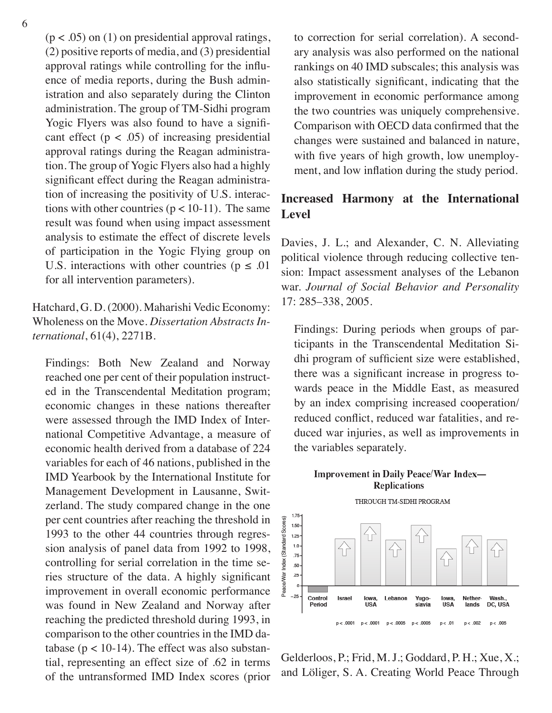$(p < .05)$  on (1) on presidential approval ratings, (2) positive reports of media, and (3) presidential approval ratings while controlling for the influence of media reports, during the Bush administration and also separately during the Clinton administration. The group of TM-Sidhi program Yogic Flyers was also found to have a significant effect  $(p < .05)$  of increasing presidential approval ratings during the Reagan administration. The group of Yogic Flyers also had a highly significant effect during the Reagan administration of increasing the positivity of U.S. interactions with other countries ( $p < 10-11$ ). The same result was found when using impact assessment analysis to estimate the effect of discrete levels of participation in the Yogic Flying group on U.S. interactions with other countries ( $p \le 0.01$ ) for all intervention parameters).

#### Hatchard, G. D. (2000). Maharishi Vedic Economy: Wholeness on the Move. *Dissertation Abstracts International*, 61(4), 2271B.

Findings: Both New Zealand and Norway reached one per cent of their population instructed in the Transcendental Meditation program; economic changes in these nations thereafter were assessed through the IMD Index of International Competitive Advantage, a measure of economic health derived from a database of 224 variables for each of 46 nations, published in the IMD Yearbook by the International Institute for Management Development in Lausanne, Switzerland. The study compared change in the one per cent countries after reaching the threshold in 1993 to the other 44 countries through regression analysis of panel data from 1992 to 1998, controlling for serial correlation in the time series structure of the data. A highly significant improvement in overall economic performance was found in New Zealand and Norway after reaching the predicted threshold during 1993, in comparison to the other countries in the IMD database ( $p < 10-14$ ). The effect was also substantial, representing an effect size of .62 in terms of the untransformed IMD Index scores (prior

to correction for serial correlation). A secondary analysis was also performed on the national rankings on 40 IMD subscales; this analysis was also statistically significant, indicating that the improvement in economic performance among the two countries was uniquely comprehensive. Comparison with OECD data confirmed that the changes were sustained and balanced in nature, with five years of high growth, low unemployment, and low inflation during the study period.

#### **Increased Harmony at the International Level**

Davies, J. L.; and Alexander, C. N. Alleviating political violence through reducing collective tension: Impact assessment analyses of the Lebanon war. *Journal of Social Behavior and Personality* 17: 285–338, 2005.

Findings: During periods when groups of participants in the Transcendental Meditation Sidhi program of sufficient size were established, there was a significant increase in progress towards peace in the Middle East, as measured by an index comprising increased cooperation/ reduced conflict, reduced war fatalities, and reduced war injuries, as well as improvements in the variables separately.

#### Improvement in Daily Peace/War Index-**Replications**



Gelderloos, P.; Frid, M. J.; Goddard, P. H.; Xue, X.; and Löliger, S. A. Creating World Peace Through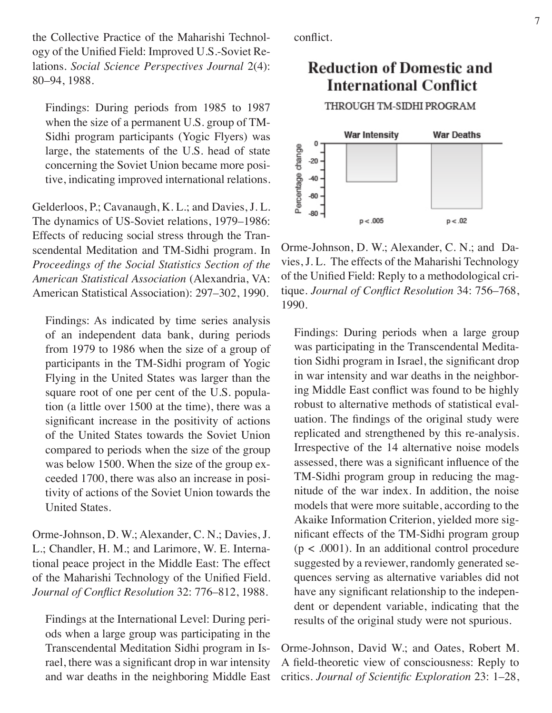the Collective Practice of the Maharishi Technology of the Unified Field: Improved U.S.-Soviet Relations. *Social Science Perspectives Journal* 2(4): 80–94, 1988.

Findings: During periods from 1985 to 1987 when the size of a permanent U.S. group of TM-Sidhi program participants (Yogic Flyers) was large, the statements of the U.S. head of state concerning the Soviet Union became more positive, indicating improved international relations.

Gelderloos, P.; Cavanaugh, K. L.; and Davies, J. L. The dynamics of US-Soviet relations, 1979–1986: Effects of reducing social stress through the Transcendental Meditation and TM-Sidhi program. In *Proceedings of the Social Statistics Section of the American Statistical Association* (Alexandria, VA: American Statistical Association): 297–302, 1990.

Findings: As indicated by time series analysis of an independent data bank, during periods from 1979 to 1986 when the size of a group of participants in the TM-Sidhi program of Yogic Flying in the United States was larger than the square root of one per cent of the U.S. population (a little over 1500 at the time), there was a significant increase in the positivity of actions of the United States towards the Soviet Union compared to periods when the size of the group was below 1500. When the size of the group exceeded 1700, there was also an increase in positivity of actions of the Soviet Union towards the United States.

Orme-Johnson, D. W.; Alexander, C. N.; Davies, J. L.; Chandler, H. M.; and Larimore, W. E. International peace project in the Middle East: The effect of the Maharishi Technology of the Unified Field. *Journal of Conflict Resolution* 32: 776–812, 1988.

Findings at the International Level: During periods when a large group was participating in the Transcendental Meditation Sidhi program in Israel, there was a significant drop in war intensity and war deaths in the neighboring Middle East conflict.

### **Reduction of Domestic and International Conflict**

THROUGH TM-SIDHI PROGRAM



Orme-Johnson, D. W.; Alexander, C. N.; and Davies, J. L. The effects of the Maharishi Technology of the Unified Field: Reply to a methodological critique. *Journal of Conflict Resolution* 34: 756–768, 1990.

Findings: During periods when a large group was participating in the Transcendental Meditation Sidhi program in Israel, the significant drop in war intensity and war deaths in the neighboring Middle East conflict was found to be highly robust to alternative methods of statistical evaluation. The findings of the original study were replicated and strengthened by this re-analysis. Irrespective of the 14 alternative noise models assessed, there was a significant influence of the TM-Sidhi program group in reducing the magnitude of the war index. In addition, the noise models that were more suitable, according to the Akaike Information Criterion, yielded more significant effects of the TM-Sidhi program group  $(p < .0001)$ . In an additional control procedure suggested by a reviewer, randomly generated sequences serving as alternative variables did not have any significant relationship to the independent or dependent variable, indicating that the results of the original study were not spurious.

Orme-Johnson, David W.; and Oates, Robert M. A field-theoretic view of consciousness: Reply to critics. *Journal of Scientific Exploration* 23: 1–28,